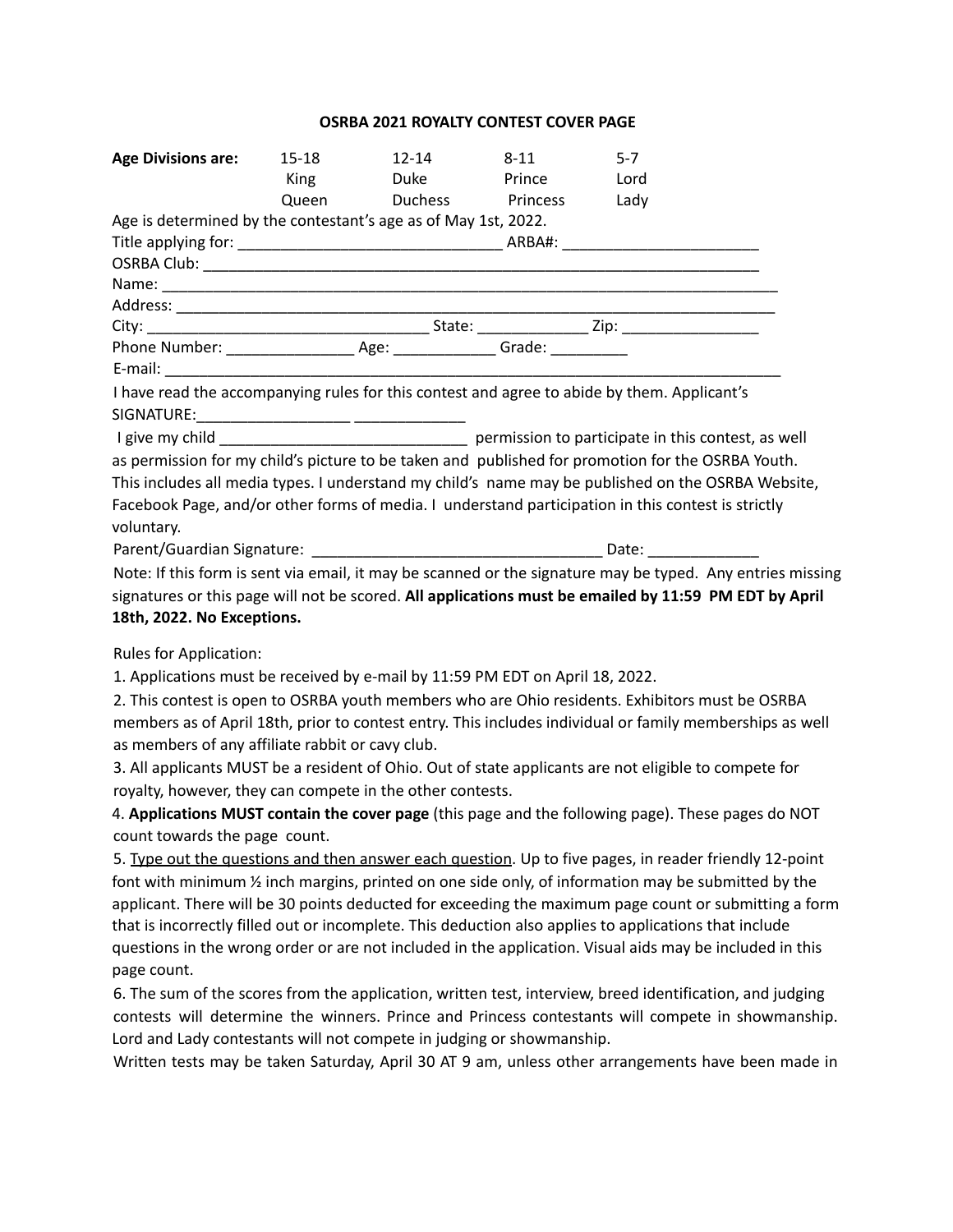## **OSRBA 2021 ROYALTY CONTEST COVER PAGE**

| <b>Age Divisions are:</b>                                                                                  | 15-18 | 12-14                       | 8-11          | $5-7$ |  |
|------------------------------------------------------------------------------------------------------------|-------|-----------------------------|---------------|-------|--|
|                                                                                                            |       | King Duke                   | <b>Prince</b> | Lord  |  |
|                                                                                                            |       | Queen Duchess Princess Lady |               |       |  |
| Age is determined by the contestant's age as of May 1st, 2022.                                             |       |                             |               |       |  |
|                                                                                                            |       |                             |               |       |  |
|                                                                                                            |       |                             |               |       |  |
|                                                                                                            |       |                             |               |       |  |
|                                                                                                            |       |                             |               |       |  |
|                                                                                                            |       |                             |               |       |  |
|                                                                                                            |       |                             |               |       |  |
|                                                                                                            |       |                             |               |       |  |
| I have read the accompanying rules for this contest and agree to abide by them. Applicant's                |       |                             |               |       |  |
|                                                                                                            |       |                             |               |       |  |
|                                                                                                            |       |                             |               |       |  |
| as permission for my child's picture to be taken and published for promotion for the OSRBA Youth.          |       |                             |               |       |  |
| This includes all media types. I understand my child's name may be published on the OSRBA Website,         |       |                             |               |       |  |
| Facebook Page, and/or other forms of media. I understand participation in this contest is strictly         |       |                             |               |       |  |
| voluntary.                                                                                                 |       |                             |               |       |  |
|                                                                                                            |       |                             |               |       |  |
| Note: If this form is sent via email, it may be scanned or the signature may be typed. Any entries missing |       |                             |               |       |  |
| signatures or this page will not be scored. All applications must be emailed by 11:59 PM EDT by April      |       |                             |               |       |  |

## **18th, 2022. No Exceptions.**

Rules for Application:

1. Applications must be received by e-mail by 11:59 PM EDT on April 18, 2022.

2. This contest is open to OSRBA youth members who are Ohio residents. Exhibitors must be OSRBA members as of April 18th, prior to contest entry. This includes individual or family memberships as well as members of any affiliate rabbit or cavy club.

3. All applicants MUST be a resident of Ohio. Out of state applicants are not eligible to compete for royalty, however, they can compete in the other contests.

4. **Applications MUST contain the cover page** (this page and the following page). These pages do NOT count towards the page count.

5. Type out the questions and then answer each question. Up to five pages, in reader friendly 12-point font with minimum ½ inch margins, printed on one side only, of information may be submitted by the applicant. There will be 30 points deducted for exceeding the maximum page count or submitting a form that is incorrectly filled out or incomplete. This deduction also applies to applications that include questions in the wrong order or are not included in the application. Visual aids may be included in this page count.

6. The sum of the scores from the application, written test, interview, breed identification, and judging contests will determine the winners. Prince and Princess contestants will compete in showmanship. Lord and Lady contestants will not compete in judging or showmanship.

Written tests may be taken Saturday, April 30 AT 9 am, unless other arrangements have been made in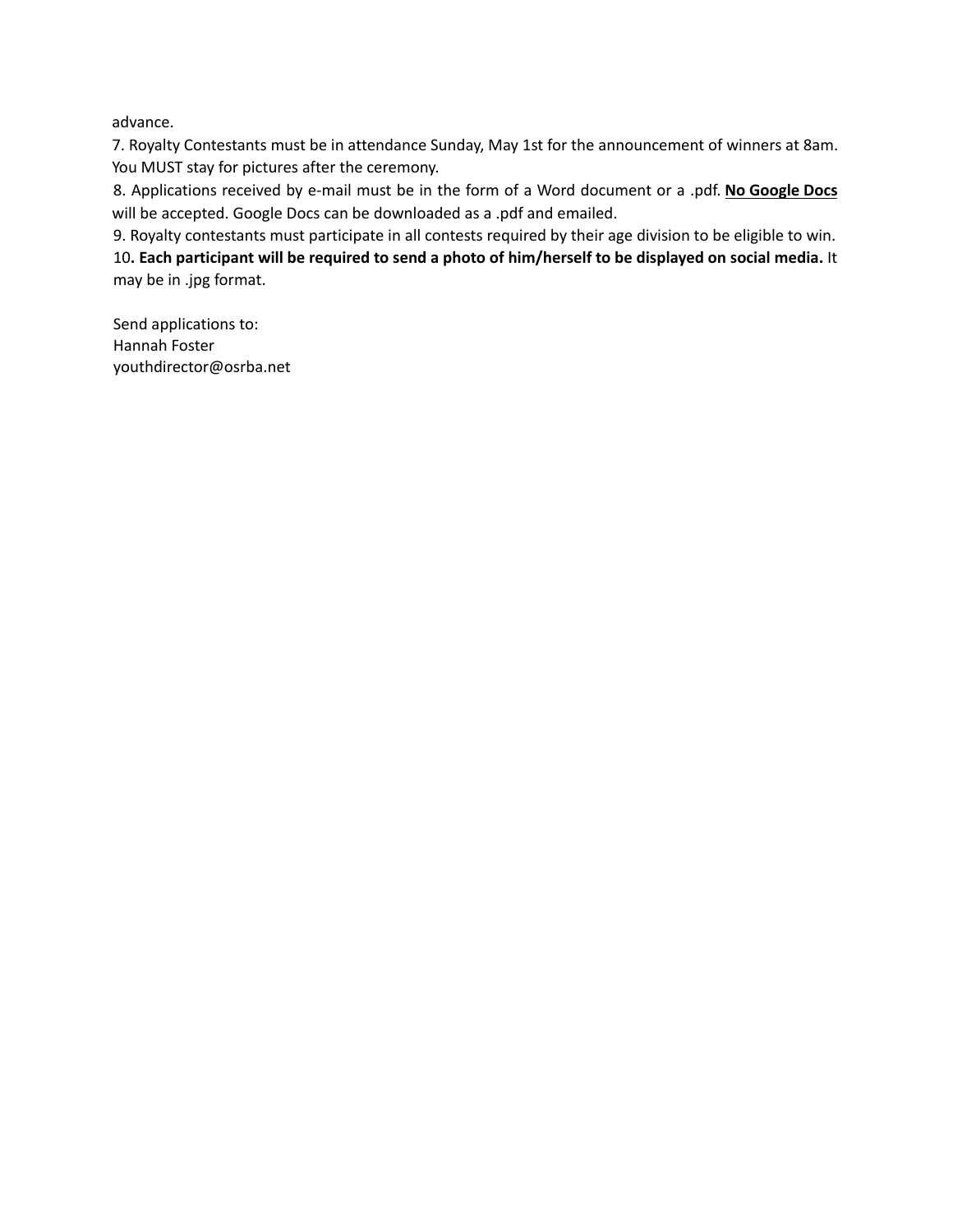advance.

7. Royalty Contestants must be in attendance Sunday, May 1st for the announcement of winners at 8am. You MUST stay for pictures after the ceremony.

8. Applications received by e-mail must be in the form of a Word document or a .pdf. **No Google Docs** will be accepted. Google Docs can be downloaded as a .pdf and emailed.

9. Royalty contestants must participate in all contests required by their age division to be eligible to win. 10. Each participant will be required to send a photo of him/herself to be displayed on social media. It may be in .jpg format.

Send applications to: Hannah Foster youthdirector@osrba.net